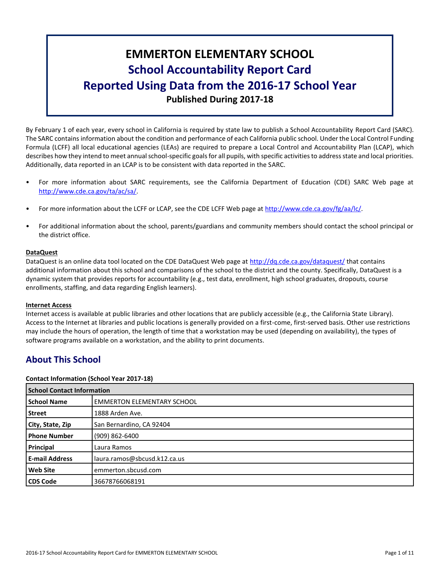# **EMMERTON ELEMENTARY SCHOOL School Accountability Report Card Reported Using Data from the 2016-17 School Year Published During 2017-18**

By February 1 of each year, every school in California is required by state law to publish a School Accountability Report Card (SARC). The SARC contains information about the condition and performance of each California public school. Under the Local Control Funding Formula (LCFF) all local educational agencies (LEAs) are required to prepare a Local Control and Accountability Plan (LCAP), which describes how they intend to meet annual school-specific goals for all pupils, with specific activities to address state and local priorities. Additionally, data reported in an LCAP is to be consistent with data reported in the SARC.

- For more information about SARC requirements, see the California Department of Education (CDE) SARC Web page at [http://www.cde.ca.gov/ta/ac/sa/.](http://www.cde.ca.gov/ta/ac/sa/)
- For more information about the LCFF or LCAP, see the CDE LCFF Web page at [http://www.cde.ca.gov/fg/aa/lc/.](http://www.cde.ca.gov/fg/aa/lc/)
- For additional information about the school, parents/guardians and community members should contact the school principal or the district office.

# **DataQuest**

DataQuest is an online data tool located on the CDE DataQuest Web page at<http://dq.cde.ca.gov/dataquest/> that contains additional information about this school and comparisons of the school to the district and the county. Specifically, DataQuest is a dynamic system that provides reports for accountability (e.g., test data, enrollment, high school graduates, dropouts, course enrollments, staffing, and data regarding English learners).

# **Internet Access**

Internet access is available at public libraries and other locations that are publicly accessible (e.g., the California State Library). Access to the Internet at libraries and public locations is generally provided on a first-come, first-served basis. Other use restrictions may include the hours of operation, the length of time that a workstation may be used (depending on availability), the types of software programs available on a workstation, and the ability to print documents.

# **About This School**

# **Contact Information (School Year 2017-18)**

|                       | <b>School Contact Information</b> |  |  |  |  |
|-----------------------|-----------------------------------|--|--|--|--|
| <b>School Name</b>    | <b>EMMERTON ELEMENTARY SCHOOL</b> |  |  |  |  |
| <b>Street</b>         | 1888 Arden Ave.                   |  |  |  |  |
| City, State, Zip      | San Bernardino, CA 92404          |  |  |  |  |
| <b>Phone Number</b>   | (909) 862-6400                    |  |  |  |  |
| Principal             | Laura Ramos                       |  |  |  |  |
| <b>E-mail Address</b> | laura.ramos@sbcusd.k12.ca.us      |  |  |  |  |
| <b>Web Site</b>       | emmerton.sbcusd.com               |  |  |  |  |
| <b>CDS Code</b>       | 36678766068191                    |  |  |  |  |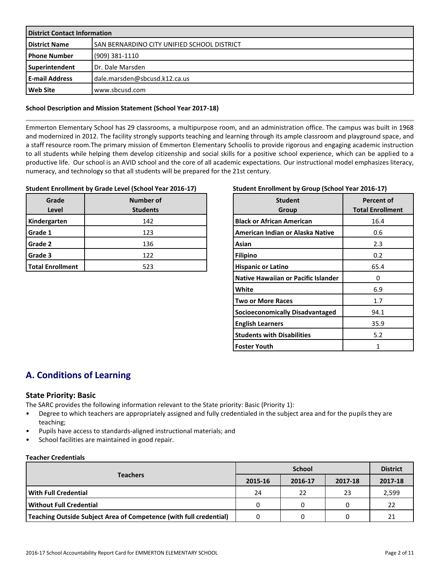| <b>District Contact Information</b> |                                               |  |  |  |
|-------------------------------------|-----------------------------------------------|--|--|--|
| <b>District Name</b>                | I SAN BERNARDINO CITY UNIFIED SCHOOL DISTRICT |  |  |  |
| l Phone Number                      | (909) 381-1110                                |  |  |  |
| Superintendent                      | Dr. Dale Marsden                              |  |  |  |
| <b>E-mail Address</b>               | dale.marsden@sbcusd.k12.ca.us                 |  |  |  |
| Web Site                            | www.sbcusd.com                                |  |  |  |

#### **School Description and Mission Statement (School Year 2017-18)**

Emmerton Elementary School has 29 classrooms, a multipurpose room, and an administration office. The campus was built in 1968 and modernized in 2012. The facility strongly supports teaching and learning through its ample classroom and playground space, and a staff resource room.The primary mission of Emmerton Elementary Schoolis to provide rigorous and engaging academic instruction to all students while helping them develop citizenship and social skills for a positive school experience, which can be applied to a productive life. Our school is an AVID school and the core of all academic expectations. Our instructional model emphasizes literacy, numeracy, and technology so that all students will be prepared for the 21st century.

# **Student Enrollment by Grade Level (School Year 2016-17)**

| Grade<br>Level          | <b>Number of</b><br><b>Students</b> |
|-------------------------|-------------------------------------|
| Kindergarten            | 142                                 |
| Grade 1                 | 123                                 |
| Grade 2                 | 136                                 |
| Grade 3                 | 122                                 |
| <b>Total Enrollment</b> | 523                                 |

# **Student Enrollment by Group (School Year 2016-17)**

| <b>Student</b><br>Group                    | Percent of<br><b>Total Enrollment</b> |
|--------------------------------------------|---------------------------------------|
| <b>Black or African American</b>           | 16.4                                  |
| American Indian or Alaska Native           | 0.6                                   |
| Asian                                      | 2.3                                   |
| <b>Filipino</b>                            | 0.2                                   |
| <b>Hispanic or Latino</b>                  | 65.4                                  |
| <b>Native Hawaiian or Pacific Islander</b> | 0                                     |
| White                                      | 6.9                                   |
| <b>Two or More Races</b>                   | 1.7                                   |
| Socioeconomically Disadvantaged            | 94.1                                  |
| <b>English Learners</b>                    | 35.9                                  |
| <b>Students with Disabilities</b>          | 5.2                                   |
| <b>Foster Youth</b>                        | 1                                     |

# **A. Conditions of Learning**

# **State Priority: Basic**

The SARC provides the following information relevant to the State priority: Basic (Priority 1):

- Degree to which teachers are appropriately assigned and fully credentialed in the subject area and for the pupils they are teaching;
- Pupils have access to standards-aligned instructional materials; and
- School facilities are maintained in good repair.

#### **Teacher Credentials**

|                                                                           |          | <b>District</b> |         |         |
|---------------------------------------------------------------------------|----------|-----------------|---------|---------|
| <b>Teachers</b>                                                           | 2015-16  | 2016-17         | 2017-18 | 2017-18 |
| With Full Credential                                                      | 24       | 22              | 23      | 2,599   |
| Without Full Credential                                                   | 0        |                 |         | -22     |
| <b>Teaching Outside Subject Area of Competence (with full credential)</b> | $\Omega$ |                 |         | 21      |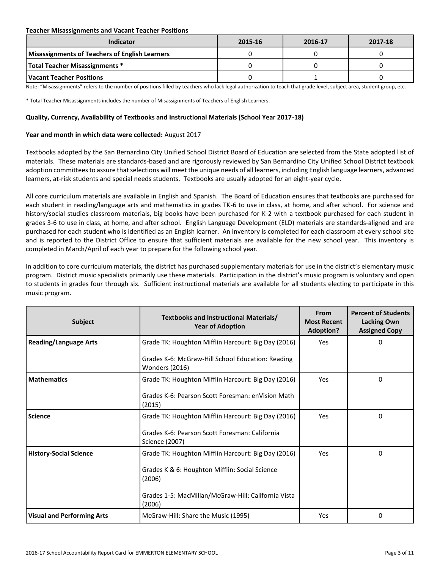#### **Teacher Misassignments and Vacant Teacher Positions**

| Indicator                                             | 2015-16 | 2016-17 | 2017-18 |
|-------------------------------------------------------|---------|---------|---------|
| <b>Misassignments of Teachers of English Learners</b> |         |         |         |
| <b>Total Teacher Misassignments *</b>                 |         |         |         |
| l Vacant Teacher Positions                            |         |         |         |

Note: "Misassignments" refers to the number of positions filled by teachers who lack legal authorization to teach that grade level, subject area, student group, etc.

\* Total Teacher Misassignments includes the number of Misassignments of Teachers of English Learners.

#### **Quality, Currency, Availability of Textbooks and Instructional Materials (School Year 2017-18)**

#### **Year and month in which data were collected:** August 2017

Textbooks adopted by the San Bernardino City Unified School District Board of Education are selected from the State adopted list of materials. These materials are standards-based and are rigorously reviewed by San Bernardino City Unified School District textbook adoption committees to assure that selections will meet the unique needs of all learners, including English language learners, advanced learners, at-risk students and special needs students. Textbooks are usually adopted for an eight-year cycle.

All core curriculum materials are available in English and Spanish. The Board of Education ensures that textbooks are purchased for each student in reading/language arts and mathematics in grades TK-6 to use in class, at home, and after school. For science and history/social studies classroom materials, big books have been purchased for K-2 with a textbook purchased for each student in grades 3-6 to use in class, at home, and after school. English Language Development (ELD) materials are standards-aligned and are purchased for each student who is identified as an English learner. An inventory is completed for each classroom at every school site and is reported to the District Office to ensure that sufficient materials are available for the new school year. This inventory is completed in March/April of each year to prepare for the following school year.

In addition to core curriculum materials, the district has purchased supplementary materials for use in the district's elementary music program. District music specialists primarily use these materials. Participation in the district's music program is voluntary and open to students in grades four through six. Sufficient instructional materials are available for all students electing to participate in this music program.

| <b>Subject</b>                    | <b>Textbooks and Instructional Materials/</b><br><b>Year of Adoption</b>   | From<br><b>Most Recent</b><br><b>Adoption?</b> | <b>Percent of Students</b><br><b>Lacking Own</b><br><b>Assigned Copy</b> |
|-----------------------------------|----------------------------------------------------------------------------|------------------------------------------------|--------------------------------------------------------------------------|
| <b>Reading/Language Arts</b>      | Grade TK: Houghton Mifflin Harcourt: Big Day (2016)                        | Yes                                            | 0                                                                        |
|                                   | Grades K-6: McGraw-Hill School Education: Reading<br><b>Wonders (2016)</b> |                                                |                                                                          |
| <b>Mathematics</b>                | Grade TK: Houghton Mifflin Harcourt: Big Day (2016)                        | Yes                                            | 0                                                                        |
|                                   | Grades K-6: Pearson Scott Foresman: enVision Math<br>(2015)                |                                                |                                                                          |
| <b>Science</b>                    | Grade TK: Houghton Mifflin Harcourt: Big Day (2016)                        | Yes                                            | 0                                                                        |
|                                   | Grades K-6: Pearson Scott Foresman: California<br><b>Science (2007)</b>    |                                                |                                                                          |
| <b>History-Social Science</b>     | Grade TK: Houghton Mifflin Harcourt: Big Day (2016)                        | Yes                                            | 0                                                                        |
|                                   | Grades K & 6: Houghton Mifflin: Social Science<br>(2006)                   |                                                |                                                                          |
|                                   | Grades 1-5: MacMillan/McGraw-Hill: California Vista<br>(2006)              |                                                |                                                                          |
| <b>Visual and Performing Arts</b> | McGraw-Hill: Share the Music (1995)                                        | Yes                                            | 0                                                                        |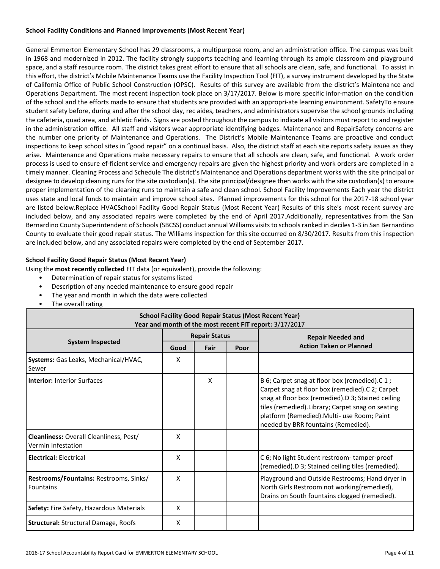#### **School Facility Conditions and Planned Improvements (Most Recent Year)**

General Emmerton Elementary School has 29 classrooms, a multipurpose room, and an administration office. The campus was built in 1968 and modernized in 2012. The facility strongly supports teaching and learning through its ample classroom and playground space, and a staff resource room. The district takes great effort to ensure that all schools are clean, safe, and functional. To assist in this effort, the district's Mobile Maintenance Teams use the Facility Inspection Tool (FIT), a survey instrument developed by the State of California Office of Public School Construction (OPSC). Results of this survey are available from the district's Maintenance and Operations Department. The most recent inspection took place on 3/17/2017. Below is more specific infor-mation on the condition of the school and the efforts made to ensure that students are provided with an appropri-ate learning environment. SafetyTo ensure student safety before, during and after the school day, rec aides, teachers, and administrators supervise the school grounds including the cafeteria, quad area, and athletic fields. Signs are posted throughout the campus to indicate all visitors must report to and register in the administration office. All staff and visitors wear appropriate identifying badges. Maintenance and RepairSafety concerns are the number one priority of Maintenance and Operations. The District's Mobile Maintenance Teams are proactive and conduct inspections to keep school sites in "good repair" on a continual basis. Also, the district staff at each site reports safety issues as they arise. Maintenance and Operations make necessary repairs to ensure that all schools are clean, safe, and functional. A work order process is used to ensure ef-ficient service and emergency repairs are given the highest priority and work orders are completed in a timely manner. Cleaning Process and Schedule The district's Maintenance and Operations department works with the site principal or designee to develop cleaning runs for the site custodian(s). The site principal/designee then works with the site custodian(s) to ensure proper implementation of the cleaning runs to maintain a safe and clean school. School Facility Improvements Each year the district uses state and local funds to maintain and improve school sites. Planned improvements for this school for the 2017-18 school year are listed below.Replace HVACSchool Facility Good Repair Status (Most Recent Year) Results of this site's most recent survey are included below, and any associated repairs were completed by the end of April 2017.Additionally, representatives from the San Bernardino County Superintendent of Schools (SBCSS) conduct annual Williams visits to schools ranked in deciles 1-3 in San Bernardino County to evaluate their good repair status. The Williams inspection for this site occurred on 8/30/2017. Results from this inspection are included below, and any associated repairs were completed by the end of September 2017.

# **School Facility Good Repair Status (Most Recent Year)**

Using the **most recently collected** FIT data (or equivalent), provide the following:

- Determination of repair status for systems listed
- Description of any needed maintenance to ensure good repair
- The year and month in which the data were collected
- The overall rating

| <b>School Facility Good Repair Status (Most Recent Year)</b><br>Year and month of the most recent FIT report: 3/17/2017 |                           |                      |  |                                                                                                                                                                                                                                                                                                  |  |  |  |
|-------------------------------------------------------------------------------------------------------------------------|---------------------------|----------------------|--|--------------------------------------------------------------------------------------------------------------------------------------------------------------------------------------------------------------------------------------------------------------------------------------------------|--|--|--|
|                                                                                                                         |                           | <b>Repair Status</b> |  | <b>Repair Needed and</b>                                                                                                                                                                                                                                                                         |  |  |  |
| <b>System Inspected</b>                                                                                                 | Good                      | Fair<br>Poor         |  | <b>Action Taken or Planned</b>                                                                                                                                                                                                                                                                   |  |  |  |
| Systems: Gas Leaks, Mechanical/HVAC,<br>Sewer                                                                           | X                         |                      |  |                                                                                                                                                                                                                                                                                                  |  |  |  |
| <b>Interior: Interior Surfaces</b>                                                                                      |                           | X                    |  | B 6; Carpet snag at floor box (remedied).C 1;<br>Carpet snag at floor box (remedied).C 2; Carpet<br>snag at floor box (remedied).D 3; Stained ceiling<br>tiles (remedied). Library; Carpet snag on seating<br>platform (Remedied). Multi- use Room; Paint<br>needed by BRR fountains (Remedied). |  |  |  |
| Cleanliness: Overall Cleanliness, Pest/<br>Vermin Infestation                                                           | X                         |                      |  |                                                                                                                                                                                                                                                                                                  |  |  |  |
| <b>Electrical: Electrical</b>                                                                                           | X                         |                      |  | C 6; No light Student restroom-tamper-proof<br>(remedied).D 3; Stained ceiling tiles (remedied).                                                                                                                                                                                                 |  |  |  |
| Restrooms/Fountains: Restrooms, Sinks/<br>Fountains                                                                     | X                         |                      |  | Playground and Outside Restrooms; Hand dryer in<br>North Girls Restroom not working(remedied),<br>Drains on South fountains clogged (remedied).                                                                                                                                                  |  |  |  |
| Safety: Fire Safety, Hazardous Materials                                                                                | $\boldsymbol{\mathsf{x}}$ |                      |  |                                                                                                                                                                                                                                                                                                  |  |  |  |
| <b>Structural: Structural Damage, Roofs</b>                                                                             | X                         |                      |  |                                                                                                                                                                                                                                                                                                  |  |  |  |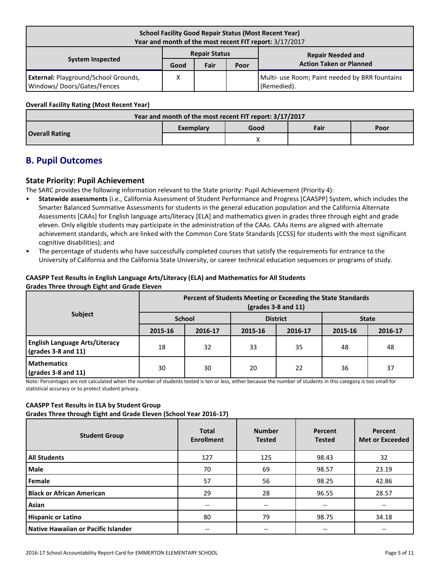| <b>School Facility Good Repair Status (Most Recent Year)</b><br>Year and month of the most recent FIT report: 3/17/2017 |      |                              |      |                                                               |  |  |  |
|-------------------------------------------------------------------------------------------------------------------------|------|------------------------------|------|---------------------------------------------------------------|--|--|--|
| <b>System Inspected</b>                                                                                                 | Good | <b>Repair Status</b><br>Fair | Poor | <b>Repair Needed and</b><br><b>Action Taken or Planned</b>    |  |  |  |
| <b>External: Playground/School Grounds,</b><br>Windows/Doors/Gates/Fences                                               | x    |                              |      | Multi- use Room; Paint needed by BRR fountains<br>(Remedied). |  |  |  |

### **Overall Facility Rating (Most Recent Year)**

| Year and month of the most recent FIT report: 3/17/2017 |                   |  |      |      |  |  |
|---------------------------------------------------------|-------------------|--|------|------|--|--|
|                                                         | Good<br>Exemplary |  | Fair | Poor |  |  |
| <b>Overall Rating</b>                                   |                   |  |      |      |  |  |

# **B. Pupil Outcomes**

# **State Priority: Pupil Achievement**

The SARC provides the following information relevant to the State priority: Pupil Achievement (Priority 4):

- **Statewide assessments** (i.e., California Assessment of Student Performance and Progress [CAASPP] System, which includes the Smarter Balanced Summative Assessments for students in the general education population and the California Alternate Assessments [CAAs] for English language arts/literacy [ELA] and mathematics given in grades three through eight and grade eleven. Only eligible students may participate in the administration of the CAAs. CAAs items are aligned with alternate achievement standards, which are linked with the Common Core State Standards [CCSS] for students with the most significant cognitive disabilities); and
- The percentage of students who have successfully completed courses that satisfy the requirements for entrance to the University of California and the California State University, or career technical education sequences or programs of study.

# **CAASPP Test Results in English Language Arts/Literacy (ELA) and Mathematics for All Students Grades Three through Eight and Grade Eleven**

|                                                                      | Percent of Students Meeting or Exceeding the State Standards<br>$\left(\text{grades }3-8\right)$ and $11\right)$ |         |                 |         |              |         |  |
|----------------------------------------------------------------------|------------------------------------------------------------------------------------------------------------------|---------|-----------------|---------|--------------|---------|--|
| <b>Subject</b>                                                       | <b>School</b>                                                                                                    |         | <b>District</b> |         | <b>State</b> |         |  |
|                                                                      | 2015-16                                                                                                          | 2016-17 | 2015-16         | 2016-17 | 2015-16      | 2016-17 |  |
| <b>English Language Arts/Literacy</b><br>$\sqrt{grades}$ 3-8 and 11) | 18                                                                                                               | 32      | 33              | 35      | 48           | 48      |  |
| <b>Mathematics</b><br>$\sqrt{grades}$ 3-8 and 11)                    | 30                                                                                                               | 30      | 20              | 22      | 36           | 37      |  |

Note: Percentages are not calculated when the number of students tested is ten or less, either because the number of students in this category is too small for statistical accuracy or to protect student privacy.

# **CAASPP Test Results in ELA by Student Group**

**Grades Three through Eight and Grade Eleven (School Year 2016-17)**

| <b>Student Group</b>                | <b>Total</b><br><b>Enrollment</b> | <b>Number</b><br><b>Tested</b>        | Percent<br><b>Tested</b> | Percent<br><b>Met or Exceeded</b> |
|-------------------------------------|-----------------------------------|---------------------------------------|--------------------------|-----------------------------------|
| <b>All Students</b>                 | 127                               | 125                                   | 98.43                    | 32                                |
| <b>Male</b>                         | 70                                | 69                                    | 98.57                    | 23.19                             |
| Female                              | 57                                | 56                                    | 98.25                    | 42.86                             |
| <b>Black or African American</b>    | 29                                | 28                                    | 96.55                    | 28.57                             |
| Asian                               | --                                | $\hspace{0.05cm}$ – $\hspace{0.05cm}$ | --                       |                                   |
| <b>Hispanic or Latino</b>           | 80                                | 79                                    | 98.75                    | 34.18                             |
| Native Hawaiian or Pacific Islander |                                   | --                                    | --                       |                                   |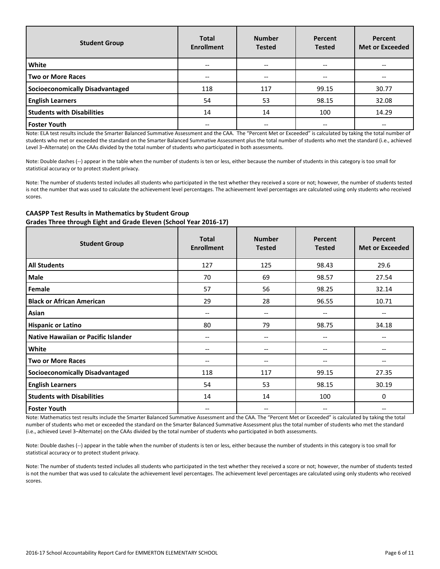| <b>Student Group</b>              | <b>Total</b><br><b>Enrollment</b> | <b>Number</b><br><b>Tested</b>        | Percent<br><b>Tested</b> | Percent<br><b>Met or Exceeded</b> |
|-----------------------------------|-----------------------------------|---------------------------------------|--------------------------|-----------------------------------|
| <b>White</b>                      | --                                | --                                    | $- -$                    |                                   |
| <b>Two or More Races</b>          | $- -$                             | $\hspace{0.05cm}$ – $\hspace{0.05cm}$ | --                       |                                   |
| Socioeconomically Disadvantaged   | 118                               | 117                                   | 99.15                    | 30.77                             |
| <b>English Learners</b>           | 54                                | 53                                    | 98.15                    | 32.08                             |
| <b>Students with Disabilities</b> | 14                                | 14                                    | 100                      | 14.29                             |
| <b>Foster Youth</b>               |                                   |                                       | $- -$                    |                                   |

Note: ELA test results include the Smarter Balanced Summative Assessment and the CAA. The "Percent Met or Exceeded" is calculated by taking the total number of students who met or exceeded the standard on the Smarter Balanced Summative Assessment plus the total number of students who met the standard (i.e., achieved Level 3–Alternate) on the CAAs divided by the total number of students who participated in both assessments.

Note: Double dashes (--) appear in the table when the number of students is ten or less, either because the number of students in this category is too small for statistical accuracy or to protect student privacy.

Note: The number of students tested includes all students who participated in the test whether they received a score or not; however, the number of students tested is not the number that was used to calculate the achievement level percentages. The achievement level percentages are calculated using only students who received scores.

# **CAASPP Test Results in Mathematics by Student Group**

**Grades Three through Eight and Grade Eleven (School Year 2016-17)**

| <b>Student Group</b>                   | <b>Total</b><br><b>Enrollment</b> | <b>Number</b><br><b>Tested</b> | Percent<br><b>Tested</b> | Percent<br><b>Met or Exceeded</b> |
|----------------------------------------|-----------------------------------|--------------------------------|--------------------------|-----------------------------------|
| <b>All Students</b>                    | 127                               | 125                            | 98.43                    | 29.6                              |
| <b>Male</b>                            | 70                                | 69                             | 98.57                    | 27.54                             |
| Female                                 | 57                                | 56                             | 98.25                    | 32.14                             |
| <b>Black or African American</b>       | 29                                | 28                             | 96.55                    | 10.71                             |
| Asian                                  | --                                | --                             | $- -$                    | $\overline{\phantom{m}}$          |
| <b>Hispanic or Latino</b>              | 80                                | 79                             | 98.75                    | 34.18                             |
| Native Hawaiian or Pacific Islander    | --                                | --                             | --                       |                                   |
| White                                  | --                                | --                             | --                       |                                   |
| <b>Two or More Races</b>               | --                                | --                             | $-$                      |                                   |
| <b>Socioeconomically Disadvantaged</b> | 118                               | 117                            | 99.15                    | 27.35                             |
| <b>English Learners</b>                | 54                                | 53                             | 98.15                    | 30.19                             |
| <b>Students with Disabilities</b>      | 14                                | 14                             | 100                      | $\Omega$                          |
| <b>Foster Youth</b>                    | --                                | --                             | --                       |                                   |

Note: Mathematics test results include the Smarter Balanced Summative Assessment and the CAA. The "Percent Met or Exceeded" is calculated by taking the total number of students who met or exceeded the standard on the Smarter Balanced Summative Assessment plus the total number of students who met the standard (i.e., achieved Level 3–Alternate) on the CAAs divided by the total number of students who participated in both assessments.

Note: Double dashes (--) appear in the table when the number of students is ten or less, either because the number of students in this category is too small for statistical accuracy or to protect student privacy.

Note: The number of students tested includes all students who participated in the test whether they received a score or not; however, the number of students tested is not the number that was used to calculate the achievement level percentages. The achievement level percentages are calculated using only students who received scores.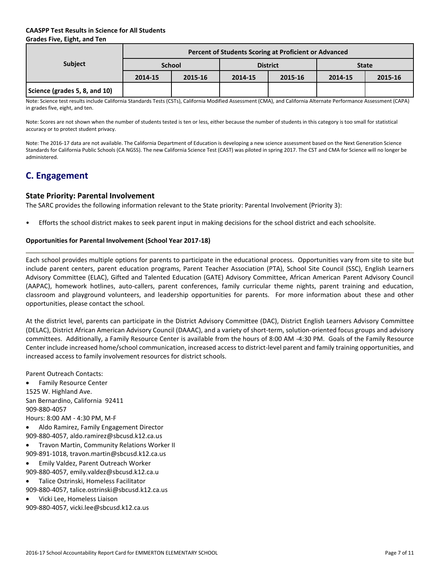# **CAASPP Test Results in Science for All Students Grades Five, Eight, and Ten**

|                               | Percent of Students Scoring at Proficient or Advanced |         |         |                 |              |         |  |  |  |
|-------------------------------|-------------------------------------------------------|---------|---------|-----------------|--------------|---------|--|--|--|
| <b>Subject</b>                | <b>School</b>                                         |         |         | <b>District</b> | <b>State</b> |         |  |  |  |
|                               | 2014-15                                               | 2015-16 | 2014-15 | 2015-16         | 2014-15      | 2015-16 |  |  |  |
| Science (grades 5, 8, and 10) |                                                       |         |         |                 |              |         |  |  |  |

Note: Science test results include California Standards Tests (CSTs), California Modified Assessment (CMA), and California Alternate Performance Assessment (CAPA) in grades five, eight, and ten.

Note: Scores are not shown when the number of students tested is ten or less, either because the number of students in this category is too small for statistical accuracy or to protect student privacy.

Note: The 2016-17 data are not available. The California Department of Education is developing a new science assessment based on the Next Generation Science Standards for California Public Schools (CA NGSS). The new California Science Test (CAST) was piloted in spring 2017. The CST and CMA for Science will no longer be administered.

# **C. Engagement**

# **State Priority: Parental Involvement**

The SARC provides the following information relevant to the State priority: Parental Involvement (Priority 3):

• Efforts the school district makes to seek parent input in making decisions for the school district and each schoolsite.

# **Opportunities for Parental Involvement (School Year 2017-18)**

Each school provides multiple options for parents to participate in the educational process. Opportunities vary from site to site but include parent centers, parent education programs, Parent Teacher Association (PTA), School Site Council (SSC), English Learners Advisory Committee (ELAC), Gifted and Talented Education (GATE) Advisory Committee, African American Parent Advisory Council (AAPAC), homework hotlines, auto-callers, parent conferences, family curricular theme nights, parent training and education, classroom and playground volunteers, and leadership opportunities for parents. For more information about these and other opportunities, please contact the school.

At the district level, parents can participate in the District Advisory Committee (DAC), District English Learners Advisory Committee (DELAC), District African American Advisory Council (DAAAC), and a variety of short-term, solution-oriented focus groups and advisory committees. Additionally, a Family Resource Center is available from the hours of 8:00 AM -4:30 PM. Goals of the Family Resource Center include increased home/school communication, increased access to district-level parent and family training opportunities, and increased access to family involvement resources for district schools.

Parent Outreach Contacts:

 Family Resource Center 1525 W. Highland Ave. San Bernardino, California 92411 909-880-4057 Hours: 8:00 AM - 4:30 PM, M-F Aldo Ramirez, Family Engagement Director 909-880-4057, aldo.ramirez@sbcusd.k12.ca.us Travon Martin, Community Relations Worker II 909-891-1018, travon.martin@sbcusd.k12.ca.us Emily Valdez, Parent Outreach Worker

- 909-880-4057, emily.valdez@sbcusd.k12.ca.u
- Talice Ostrinski, Homeless Facilitator

909-880-4057, talice.ostrinski@sbcusd.k12.ca.us

Vicki Lee, Homeless Liaison

909-880-4057, vicki.lee@sbcusd.k12.ca.us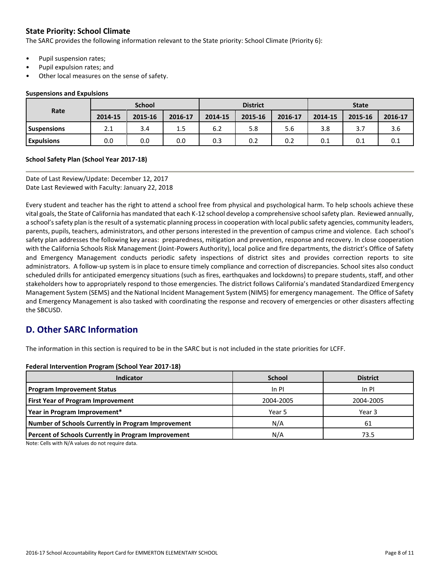# **State Priority: School Climate**

The SARC provides the following information relevant to the State priority: School Climate (Priority 6):

- Pupil suspension rates;
- Pupil expulsion rates; and
- Other local measures on the sense of safety.

#### **Suspensions and Expulsions**

|                    | <b>School</b> |         |         | <b>District</b> |         |         | <b>State</b> |         |         |
|--------------------|---------------|---------|---------|-----------------|---------|---------|--------------|---------|---------|
| Rate               | 2014-15       | 2015-16 | 2016-17 | 2014-15         | 2015-16 | 2016-17 | 2014-15      | 2015-16 | 2016-17 |
| <b>Suspensions</b> | 2.1           | 3.4     | 1.5     | 6.2             | 5.8     | 5.6     | 3.8          | 3.7     | 3.6     |
| <b>Expulsions</b>  | 0.0           | 0.0     | 0.0     | 0.3             | 0.2     | 0.2     | 0.1          | 0.1     | 0.1     |

#### **School Safety Plan (School Year 2017-18)**

Date of Last Review/Update: December 12, 2017 Date Last Reviewed with Faculty: January 22, 2018

Every student and teacher has the right to attend a school free from physical and psychological harm. To help schools achieve these vital goals, the State of California has mandated that each K-12 school develop a comprehensive school safety plan. Reviewed annually, a school's safety plan is the result of a systematic planning process in cooperation with local public safety agencies, community leaders, parents, pupils, teachers, administrators, and other persons interested in the prevention of campus crime and violence. Each school's safety plan addresses the following key areas: preparedness, mitigation and prevention, response and recovery. In close cooperation with the California Schools Risk Management (Joint-Powers Authority), local police and fire departments, the district's Office of Safety and Emergency Management conducts periodic safety inspections of district sites and provides correction reports to site administrators. A follow-up system is in place to ensure timely compliance and correction of discrepancies. School sites also conduct scheduled drills for anticipated emergency situations (such as fires, earthquakes and lockdowns) to prepare students, staff, and other stakeholders how to appropriately respond to those emergencies. The district follows California's mandated Standardized Emergency Management System (SEMS) and the National Incident Management System (NIMS) for emergency management. The Office of Safety and Emergency Management is also tasked with coordinating the response and recovery of emergencies or other disasters affecting the SBCUSD.

# **D. Other SARC Information**

The information in this section is required to be in the SARC but is not included in the state priorities for LCFF.

#### **Federal Intervention Program (School Year 2017-18)**

| <b>Indicator</b>                                           | <b>School</b> | <b>District</b> |
|------------------------------------------------------------|---------------|-----------------|
| <b>Program Improvement Status</b>                          | In PI         | $In$ PI         |
| <b>First Year of Program Improvement</b>                   | 2004-2005     | 2004-2005       |
| Year in Program Improvement*                               | Year 5        | Year 3          |
| Number of Schools Currently in Program Improvement         | N/A           | 61              |
| <b>Percent of Schools Currently in Program Improvement</b> | N/A           | 73.5            |

Note: Cells with N/A values do not require data.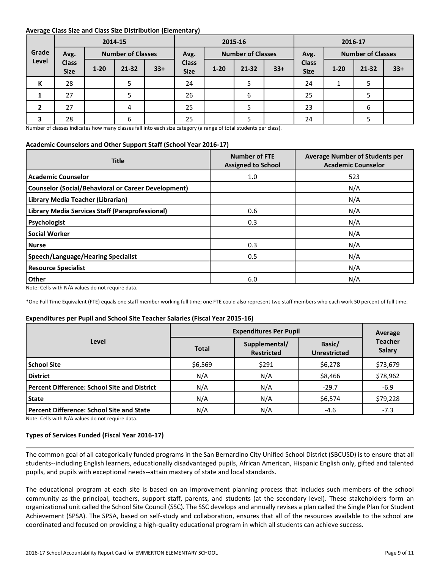### **Average Class Size and Class Size Distribution (Elementary)**

|                |                             |          | 2014-15                  |       | 2015-16                          |          |           |       | 2016-17                     |          |           |       |
|----------------|-----------------------------|----------|--------------------------|-------|----------------------------------|----------|-----------|-------|-----------------------------|----------|-----------|-------|
| Grade          | Avg.                        |          | <b>Number of Classes</b> |       | <b>Number of Classes</b><br>Avg. |          | Avg.      |       | <b>Number of Classes</b>    |          |           |       |
| Level          | <b>Class</b><br><b>Size</b> | $1 - 20$ | $21 - 32$                | $33+$ | <b>Class</b><br><b>Size</b>      | $1 - 20$ | $21 - 32$ | $33+$ | <b>Class</b><br><b>Size</b> | $1 - 20$ | $21 - 32$ | $33+$ |
| К              | 28                          |          | 5                        |       | 24                               |          | 5         |       | 24                          | 1        | 5         |       |
| 1              | 27                          |          | 5                        |       | 26                               |          | 6         |       | 25                          |          | 5         |       |
| $\overline{2}$ | 27                          |          | 4                        |       | 25                               |          | 5         |       | 23                          |          | 6         |       |
| 3              | 28                          |          | 6                        |       | 25                               |          |           |       | 24                          |          | 5         |       |

Number of classes indicates how many classes fall into each size category (a range of total students per class).

#### **Academic Counselors and Other Support Staff (School Year 2016-17)**

| <b>Title</b>                                               | <b>Number of FTE</b><br><b>Assigned to School</b> | <b>Average Number of Students per</b><br><b>Academic Counselor</b> |
|------------------------------------------------------------|---------------------------------------------------|--------------------------------------------------------------------|
| <b>Academic Counselor</b>                                  | 1.0                                               | 523                                                                |
| <b>Counselor (Social/Behavioral or Career Development)</b> |                                                   | N/A                                                                |
| Library Media Teacher (Librarian)                          |                                                   | N/A                                                                |
| <b>Library Media Services Staff (Paraprofessional)</b>     | 0.6                                               | N/A                                                                |
| Psychologist                                               | 0.3                                               | N/A                                                                |
| <b>Social Worker</b>                                       |                                                   | N/A                                                                |
| <b>Nurse</b>                                               | 0.3                                               | N/A                                                                |
| <b>Speech/Language/Hearing Specialist</b>                  | 0.5                                               | N/A                                                                |
| <b>Resource Specialist</b>                                 |                                                   | N/A                                                                |
| <b>Other</b>                                               | 6.0                                               | N/A                                                                |

Note: Cells with N/A values do not require data.

\*One Full Time Equivalent (FTE) equals one staff member working full time; one FTE could also represent two staff members who each work 50 percent of full time.

#### **Expenditures per Pupil and School Site Teacher Salaries (Fiscal Year 2015-16)**

|                                                     | <b>Expenditures Per Pupil</b> | Average                            |                               |                                 |  |
|-----------------------------------------------------|-------------------------------|------------------------------------|-------------------------------|---------------------------------|--|
| Level                                               | <b>Total</b>                  | Supplemental/<br><b>Restricted</b> | Basic/<br><b>Unrestricted</b> | <b>Teacher</b><br><b>Salary</b> |  |
| <b>School Site</b>                                  | \$6,569                       | \$291                              | \$6,278                       | \$73,679                        |  |
| <b>District</b>                                     | N/A                           | N/A                                | \$8,466                       | \$78,962                        |  |
| <b>Percent Difference: School Site and District</b> | N/A                           | N/A                                | $-29.7$                       | $-6.9$                          |  |
| <b>State</b>                                        | N/A                           | N/A                                | \$6,574                       | \$79,228                        |  |
| <b>Percent Difference: School Site and State</b>    | N/A                           | N/A                                | $-4.6$                        | $-7.3$                          |  |

Note: Cells with N/A values do not require data.

# **Types of Services Funded (Fiscal Year 2016-17)**

The common goal of all categorically funded programs in the San Bernardino City Unified School District (SBCUSD) is to ensure that all students--including English learners, educationally disadvantaged pupils, African American, Hispanic English only, gifted and talented pupils, and pupils with exceptional needs--attain mastery of state and local standards.

The educational program at each site is based on an improvement planning process that includes such members of the school community as the principal, teachers, support staff, parents, and students (at the secondary level). These stakeholders form an organizational unit called the School Site Council (SSC). The SSC develops and annually revises a plan called the Single Plan for Student Achievement (SPSA). The SPSA, based on self-study and collaboration, ensures that all of the resources available to the school are coordinated and focused on providing a high-quality educational program in which all students can achieve success.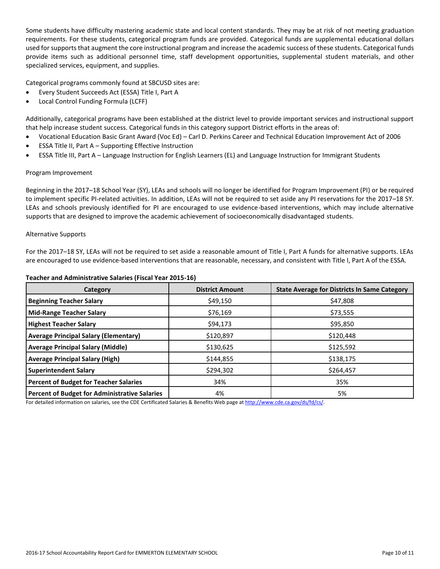Some students have difficulty mastering academic state and local content standards. They may be at risk of not meeting graduation requirements. For these students, categorical program funds are provided. Categorical funds are supplemental educational dollars used for supports that augment the core instructional program and increase the academic success of these students. Categorical funds provide items such as additional personnel time, staff development opportunities, supplemental student materials, and other specialized services, equipment, and supplies.

Categorical programs commonly found at SBCUSD sites are:

- Every Student Succeeds Act (ESSA) Title I, Part A
- Local Control Funding Formula (LCFF)

Additionally, categorical programs have been established at the district level to provide important services and instructional support that help increase student success. Categorical funds in this category support District efforts in the areas of:

- Vocational Education Basic Grant Award (Voc Ed) Carl D. Perkins Career and Technical Education Improvement Act of 2006
- ESSA Title II, Part A Supporting Effective Instruction
- ESSA Title III, Part A Language Instruction for English Learners (EL) and Language Instruction for Immigrant Students

#### Program Improvement

Beginning in the 2017–18 School Year (SY), LEAs and schools will no longer be identified for Program Improvement (PI) or be required to implement specific PI-related activities. In addition, LEAs will not be required to set aside any PI reservations for the 2017–18 SY. LEAs and schools previously identified for PI are encouraged to use evidence-based interventions, which may include alternative supports that are designed to improve the academic achievement of socioeconomically disadvantaged students.

#### Alternative Supports

For the 2017–18 SY, LEAs will not be required to set aside a reasonable amount of Title I, Part A funds for alternative supports. LEAs are encouraged to use evidence-based interventions that are reasonable, necessary, and consistent with Title I, Part A of the ESSA.

#### **Teacher and Administrative Salaries (Fiscal Year 2015-16)**

| Category                                      | <b>District Amount</b> | <b>State Average for Districts In Same Category</b> |
|-----------------------------------------------|------------------------|-----------------------------------------------------|
| <b>Beginning Teacher Salary</b>               | \$49,150               | \$47,808                                            |
| <b>Mid-Range Teacher Salary</b>               | \$76,169               | \$73,555                                            |
| <b>Highest Teacher Salary</b>                 | \$94,173               | \$95,850                                            |
| <b>Average Principal Salary (Elementary)</b>  | \$120,897              | \$120,448                                           |
| <b>Average Principal Salary (Middle)</b>      | \$130,625              | \$125,592                                           |
| <b>Average Principal Salary (High)</b>        | \$144,855              | \$138,175                                           |
| <b>Superintendent Salary</b>                  | \$294,302              | \$264,457                                           |
| <b>Percent of Budget for Teacher Salaries</b> | 34%                    | 35%                                                 |
| Percent of Budget for Administrative Salaries | 4%                     | 5%                                                  |

For detailed information on salaries, see the CDE Certificated Salaries & Benefits Web page a[t http://www.cde.ca.gov/ds/fd/cs/.](http://www.cde.ca.gov/ds/fd/cs/)